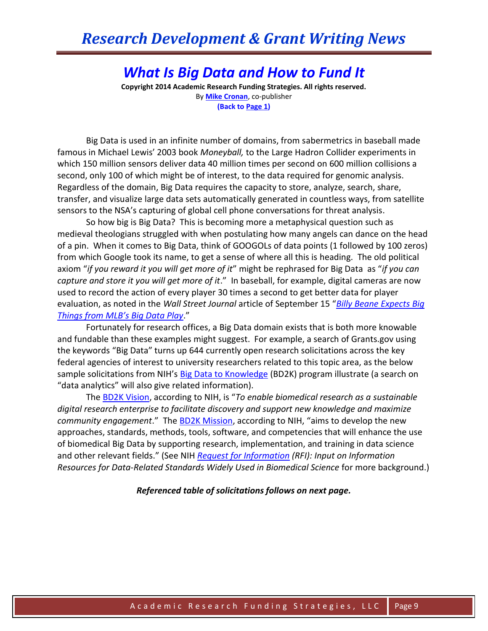## *Research Development & Grant Writing News*

## *What Is Big Data and How to Fund It*

**Copyright 2014 Academic Research Funding Strategies. All rights reserved.** By **[Mike Cronan](mailto:mjcronan@gmail.com)**, co-publisher **(Back to Page 1)**

Big Data is used in an infinite number of domains, from sabermetrics in baseball made famous in Michael Lewis' 2003 book *Moneyball,* to the Large Hadron Collider experiments in which 150 million sensors deliver data 40 million times per second on 600 million collisions a second, only 100 of which might be of interest, to the data required for genomic analysis. Regardless of the domain, Big Data requires the capacity to store, analyze, search, share, transfer, and visualize large data sets automatically generated in countless ways, from satellite sensors to the NSA's capturing of global cell phone conversations for threat analysis.

So how big is Big Data? This is becoming more a metaphysical question such as medieval theologians struggled with when postulating how many angels can dance on the head of a pin. When it comes to Big Data, think of GOOGOLs of data points (1 followed by 100 zeros) from which Google took its name, to get a sense of where all this is heading. The old political axiom "*if you reward it you will get more of it*" might be rephrased for Big Data as "*if you can capture and store it you will get more of it*." In baseball, for example, digital cameras are now used to record the action of every player 30 times a second to get better data for player evaluation, as noted in the *Wall Street Journal* article of September 15 "*[Billy Beane Expects Big](http://blogs.wsj.com/cio/2014/03/05/billy-beane-expects-big-things-from-mlbs-big-data-play/)  [Things from MLB's Big Data Play](http://blogs.wsj.com/cio/2014/03/05/billy-beane-expects-big-things-from-mlbs-big-data-play/)*."

Fortunately for research offices, a Big Data domain exists that is both more knowable and fundable than these examples might suggest. For example, a search of Grants.gov using the keywords "Big Data" turns up 644 currently open research solicitations across the key federal agencies of interest to university researchers related to this topic area, as the below sample solicitations from NIH's [Big Data to Knowledge](http://bd2k.nih.gov/funding_opportunities.html#sthash.R9NK0ik0.dpbs) (BD2K) program illustrate (a search on "data analytics" will also give related information).

The [BD2K Vision](http://bd2k.nih.gov/pdf/BD2K%20presentation%20for%20ADDS%20meeting.pdf), according to NIH, is "*To enable biomedical research as a sustainable digital research enterprise to facilitate discovery and support new knowledge and maximize community engagement*." The [BD2K Mission,](http://bd2k.nih.gov/about_bd2k.html#sthash.sg2g5CUk.dpbs) according to NIH, "aims to develop the new approaches, standards, methods, tools, software, and competencies that will enhance the use of biomedical Big Data by supporting research, implementation, and training in data science and other relevant fields." (See NIH *[Request for Information](http://grants.nih.gov/grants/guide/notice-files/NOT-CA-14-054.html) (RFI): Input on Information Resources for Data-Related Standards Widely Used in Biomedical Science* for more background.)

*Referenced table of solicitations follows on next page.*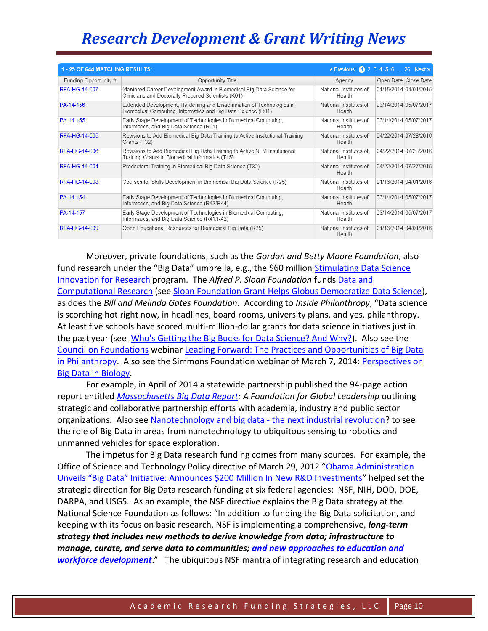## *Research Development & Grant Writing News*

| 1 - 25 OF 644 MATCHING RESULTS:<br>« Previous $\bigcirc$ 2 3 4 5 6  26 Next » |                                                                                                                                      |                                  |                       |                      |
|-------------------------------------------------------------------------------|--------------------------------------------------------------------------------------------------------------------------------------|----------------------------------|-----------------------|----------------------|
| Funding Opportunity #                                                         | Opportunity Title                                                                                                                    | Agency                           |                       | Open Date Close Date |
| RFA-HG-14-007                                                                 | Mentored Career Development Award in Biomedical Big Data Science for<br>Clinicians and Doctorally Prepared Scientists (K01)          | National Institutes of<br>Health | 01/15/2014 04/01/2015 |                      |
| PA-14-156                                                                     | Extended Development, Hardening and Dissemination of Technologies in<br>Biomedical Computing, Informatics and Big Data Science (R01) | National Institutes of<br>Health | 03/14/2014 05/07/2017 |                      |
| PA-14-155                                                                     | Early Stage Development of Technologies in Biomedical Computing.<br>Informatics, and Big Data Science (R01)                          | National Institutes of<br>Health | 03/14/2014 05/07/2017 |                      |
| RFA-HG-14-005                                                                 | Revisions to Add Biomedical Big Data Training to Active Institutional Training<br>Grants (T32)                                       | National Institutes of<br>Health | 04/22/2014 07/28/2016 |                      |
| RFA-HG-14-006                                                                 | Revisions to Add Biomedical Big Data Training to Active NLM Institutional<br>Training Grants in Biomedical Informatics (T15)         | National Institutes of<br>Health | 04/22/2014 07/28/2016 |                      |
| RFA-HG-14-004                                                                 | Predoctoral Training in Biomedical Big Data Science (T32)                                                                            | National Institutes of<br>Health | 04/22/2014 07/27/2015 |                      |
| RFA-HG-14-008                                                                 | Courses for Skills Development in Biomedical Big Data Science (R25)                                                                  | National Institutes of<br>Health | 01/16/2014 04/01/2016 |                      |
| PA-14-154                                                                     | Early Stage Development of Technologies in Biomedical Computing.<br>Informatics, and Big Data Science (R43/R44)                      | National Institutes of<br>Health | 03/14/2014 05/07/2017 |                      |
| PA-14-157                                                                     | Early Stage Development of Technologies in Biomedical Computing,<br>Informatics, and Big Data Science (R41/R42)                      | National Institutes of<br>Health | 03/14/2014 05/07/2017 |                      |
| RFA-HG-14-009                                                                 | Open Educational Resources for Biomedical Big Data (R25)                                                                             | National Institutes of<br>Health | 01/16/2014 04/01/2016 |                      |

Moreover, private foundations, such as the *Gordon and Betty Moore Foundation*, also fund research under the "Big Data" umbrella, e.g., the \$60 million Stimulating Data Science [Innovation for Research](http://www.moore.org/programs/science/data-driven-discovery) program. The *Alfred P. Sloan Foundation* funds [Data and](http://www.sloan.org/major-program-areas/digital-information-technology/data-and-computational-research/)  [Computational Research](http://www.sloan.org/major-program-areas/digital-information-technology/data-and-computational-research/) (see [Sloan Foundation Grant Helps Globus Democratize Data Science\)](https://www.ci.uchicago.edu/press-releases/sloan-foundation-grant-helps-globus-democratize-data-science), as does the *Bill and Melinda Gates Foundation*. According to *Inside Philanthropy*, "Data science is scorching hot right now, in headlines, board rooms, university plans, and yes, philanthropy. At least five schools have scored multi-million-dollar grants for data science initiatives just in the past year (see [Who's Getting the Big Bucks for Data Science? And Why?\)](http://www.insidephilanthropy.com/home/2014/4/14/whos-getting-the-big-bucks-for-data-science-and-why.html). Also see the [Council on Foundations](http://www.cof.org/content/practices-and-opportunities-big-data-philanthropy) webinar [Leading Forward: The Practices and Opportunities of Big Data](https://www.youtube.com/watch?v=yxme-kKCb6g&feature=youtu.be)  [in Philanthropy.](https://www.youtube.com/watch?v=yxme-kKCb6g&feature=youtu.be) Also see the Simmons Foundation webinar of March 7, 2014: Perspectives on [Big Data in Biology.](http://www.simonsfoundation.org/events/biotech-symposia-events/march-7-2014-perspectives-on-big-data-in-biology/)

For example, in April of 2014 a statewide partnership published the 94-page action report entitled *[Massachusetts Big Data Report:](http://www.masstech.org/sites/mtc/files/documents/Full%20Report%202014%20Mass%20Big%20Data%20Report_0.pdf) A Foundation for Global Leadership* outlining strategic and collaborative partnership efforts with academia, industry and public sector organizations. Also see [Nanotechnology and big data -](http://www.nanowerk.com/nanotechnology-news/newsid=37154.php) the next industrial revolution? to see the role of Big Data in areas from nanotechnology to ubiquitous sensing to robotics and unmanned vehicles for space exploration.

The impetus for Big Data research funding comes from many sources. For example, the Office of Science and Technology Policy directive of March 29, 2012 "Obama Administration [Unveils "Big Data" Initiative: Announces \\$200 Million In New R&D Investments"](http://www.whitehouse.gov/sites/default/files/microsites/ostp/big_data_press_release_final_2.pdf) helped set the strategic direction for Big Data research funding at six federal agencies: NSF, NIH, DOD, DOE, DARPA, and USGS. As an example, the NSF directive explains the Big Data strategy at the National Science Foundation as follows: "In addition to funding the Big Data solicitation, and keeping with its focus on basic research, NSF is implementing a comprehensive, *long-term strategy that includes new methods to derive knowledge from data; infrastructure to manage, curate, and serve data to communities; and new approaches to education and workforce development*." The ubiquitous NSF mantra of integrating research and education